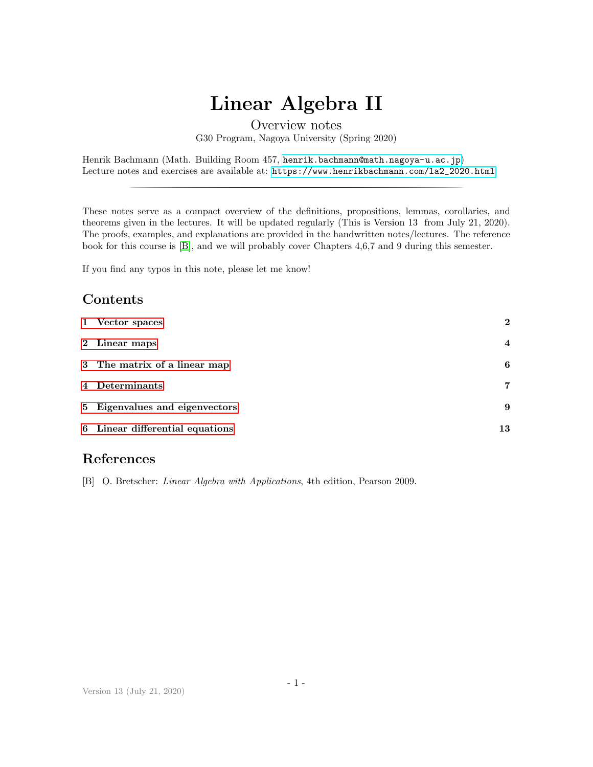# Linear Algebra II

# Contents

|                         | Linear Algebra II                                                                                                                                                                                                                                                                                                                                                                                                            |                  |
|-------------------------|------------------------------------------------------------------------------------------------------------------------------------------------------------------------------------------------------------------------------------------------------------------------------------------------------------------------------------------------------------------------------------------------------------------------------|------------------|
|                         | Overview notes<br>G30 Program, Nagoya University (Spring 2020)                                                                                                                                                                                                                                                                                                                                                               |                  |
|                         | Henrik Bachmann (Math. Building Room 457, henrik.bachmann@math.nagoya-u.ac.jp)<br>Lecture notes and exercises are available at: https://www.henrikbachmann.com/1a2_2020.html                                                                                                                                                                                                                                                 |                  |
|                         | These notes serve as a compact overview of the definitions, propositions, lemmas, corollaries, and<br>theorems given in the lectures. It will be updated regularly (This is Version 13 from July 21, 2020).<br>The proofs, examples, and explanations are provided in the handwritten notes/lectures. The reference<br>book for this course is $[B]$ , and we will probably cover Chapters 4,6,7 and 9 during this semester. |                  |
|                         | If you find any typos in this note, please let me know!                                                                                                                                                                                                                                                                                                                                                                      |                  |
|                         | Contents                                                                                                                                                                                                                                                                                                                                                                                                                     |                  |
| 1                       | Vector spaces                                                                                                                                                                                                                                                                                                                                                                                                                | $\boldsymbol{2}$ |
| $\bf{2}$                | Linear maps                                                                                                                                                                                                                                                                                                                                                                                                                  | 4                |
| 3                       | The matrix of a linear map                                                                                                                                                                                                                                                                                                                                                                                                   | 6                |
| $\overline{\mathbf{4}}$ | Determinants                                                                                                                                                                                                                                                                                                                                                                                                                 | $\overline{7}$   |
| 5                       | Eigenvalues and eigenvectors                                                                                                                                                                                                                                                                                                                                                                                                 | 9                |
| 6                       | Linear differential equations                                                                                                                                                                                                                                                                                                                                                                                                | 13               |

# References

<span id="page-0-0"></span>[B] O. Bretscher: Linear Algebra with Applications, 4th edition, Pearson 2009.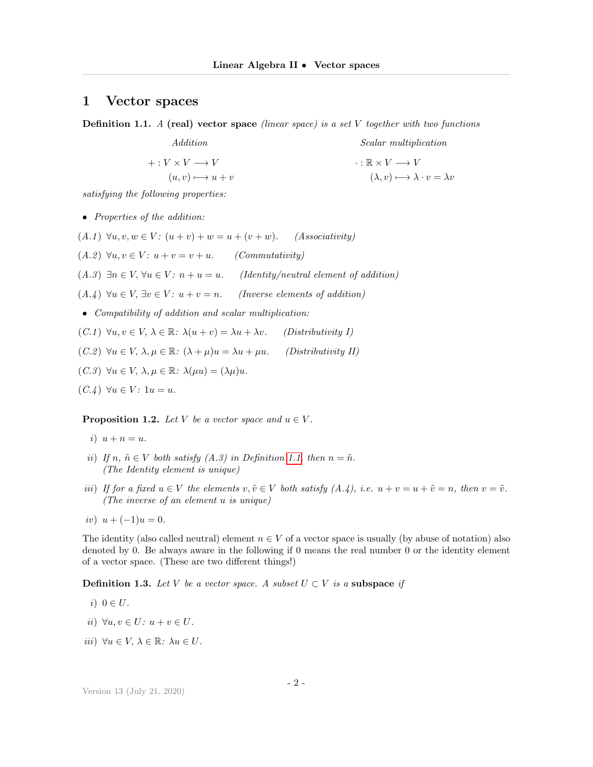#### <span id="page-1-0"></span>1 Vector spaces

<span id="page-1-1"></span>**Definition 1.1.** A (real) vector space (linear space) is a set V together with two functions

Addition  $+: V \times V \longrightarrow V$  $(u, v) \longmapsto u + v$ Scalar multiplication  $\cdot : \mathbb{R} \times V \longrightarrow V$  $(\lambda, v) \longmapsto \lambda \cdot v = \lambda v$ 

satisfying the following properties:

• Properties of the addition:

(A.1)  $\forall u, v, w \in V$ :  $(u + v) + w = u + (v + w)$ . (Associativity)  $(A.2) \forall u, v \in V: u + v = v + u.$  (Commutativity) (A.3)  $\exists n \in V, \forall u \in V: n + u = u.$  (Identity/neutral element of addition)  $(A.4) \ \forall u \in V, \exists v \in V: u + v = n.$  (Inverse elements of addition) • Compatibility of addition and scalar multiplication: (C.1)  $\forall u, v \in V, \lambda \in \mathbb{R}: \lambda(u+v) = \lambda u + \lambda v.$  (Distributivity I) (C.2)  $\forall u \in V, \, \lambda, \mu \in \mathbb{R}: (\lambda + \mu)u = \lambda u + \mu u.$  (Distributivity II)  $(C.3) \ \forall u \in V, \ \lambda, \mu \in \mathbb{R}: \ \lambda(\mu u) = (\lambda \mu)u.$ 

```
(C.\mathcal{A}) \ \forall u \in V: 1u = u.
```
**Proposition 1.2.** Let V be a vector space and  $u \in V$ .

- i)  $u + n = u$ .
- ii) If  $n, \tilde{n} \in V$  both satisfy  $(A.3)$  in Definition [1.1,](#page-1-1) then  $n = \tilde{n}$ . (The Identity element is unique)
- iii) If for a fixed  $u \in V$  the elements  $v, \tilde{v} \in V$  both satisfy  $(A.\dot{4}), i.e. u + v = u + \tilde{v} = n$ , then  $v = \tilde{v}$ . (The inverse of an element u is unique)
- iv)  $u + (-1)u = 0$ .

The identity (also called neutral) element  $n \in V$  of a vector space is usually (by abuse of notation) also denoted by 0. Be always aware in the following if 0 means the real number 0 or the identity element of a vector space. (These are two different things!)

**Definition 1.3.** Let V be a vector space. A subset  $U \subset V$  is a subspace if

- i)  $0 \in U$ .
- ii)  $\forall u, v \in U: u + v \in U.$
- iii)  $\forall u \in V, \, \lambda \in \mathbb{R}: \, \lambda u \in U.$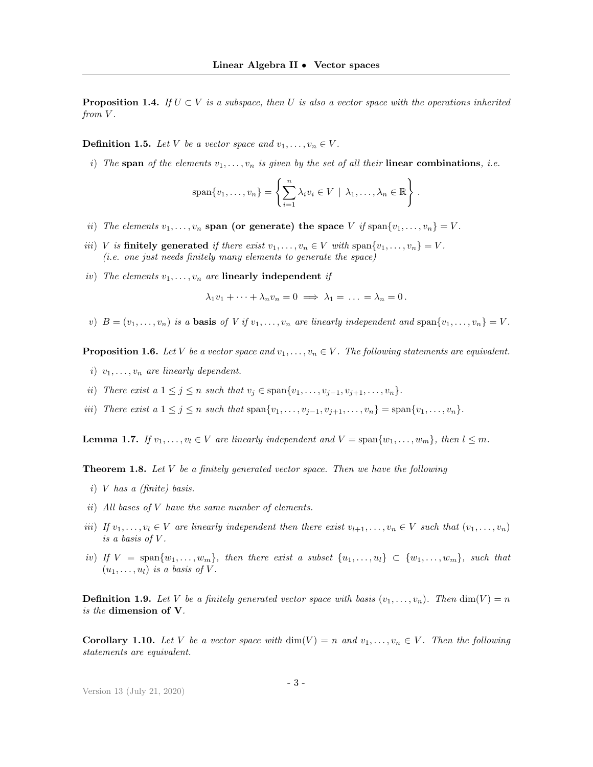**Proposition 1.4.** If  $U \subset V$  is a subspace, then U is also a vector space with the operations inherited from V.

**Definition 1.5.** Let V be a vector space and  $v_1, \ldots, v_n \in V$ .

i) The span of the elements  $v_1, \ldots, v_n$  is given by the set of all their linear combinations, i.e.

$$
\mathrm{span}\{v_1,\ldots,v_n\} = \left\{\sum_{i=1}^n \lambda_i v_i \in V \mid \lambda_1,\ldots,\lambda_n \in \mathbb{R}\right\}.
$$

- ii) The elements  $v_1, \ldots, v_n$  span (or generate) the space V if span $\{v_1, \ldots, v_n\} = V$ .
- iii) V is finitely generated if there exist  $v_1, \ldots, v_n \in V$  with span $\{v_1, \ldots, v_n\} = V$ . (i.e. one just needs finitely many elements to generate the space)
- iv) The elements  $v_1, \ldots, v_n$  are linearly independent if

$$
\lambda_1 v_1 + \dots + \lambda_n v_n = 0 \implies \lambda_1 = \dots = \lambda_n = 0.
$$

v)  $B = (v_1, \ldots, v_n)$  is a **basis** of V if  $v_1, \ldots, v_n$  are linearly independent and span $\{v_1, \ldots, v_n\} = V$ .

**Proposition 1.6.** Let V be a vector space and  $v_1, \ldots, v_n \in V$ . The following statements are equivalent.

- i)  $v_1, \ldots, v_n$  are linearly dependent.
- ii) There exist a  $1 \leq j \leq n$  such that  $v_j \in \text{span}\{v_1, \ldots, v_{j-1}, v_{j+1}, \ldots, v_n\}.$
- iii) There exist a  $1 \leq j \leq n$  such that  $\text{span}\{v_1, \ldots, v_{j-1}, v_{j+1}, \ldots, v_n\} = \text{span}\{v_1, \ldots, v_n\}.$

**Lemma 1.7.** If  $v_1, \ldots, v_l \in V$  are linearly independent and  $V = \text{span}\{w_1, \ldots, w_m\}$ , then  $l \leq m$ .

**Theorem 1.8.** Let  $V$  be a finitely generated vector space. Then we have the following

- i) V has a (finite) basis.
- ii) All bases of V have the same number of elements.
- iii) If  $v_1, \ldots, v_l \in V$  are linearly independent then there exist  $v_{l+1}, \ldots, v_n \in V$  such that  $(v_1, \ldots, v_n)$ is a basis of  $V$ .
- iv) If  $V = \text{span}\{w_1, \ldots, w_m\}$ , then there exist a subset  $\{u_1, \ldots, u_l\} \subset \{w_1, \ldots, w_m\}$ , such that  $(u_1, \ldots, u_l)$  is a basis of V.

**Definition 1.9.** Let V be a finitely generated vector space with basis  $(v_1, \ldots, v_n)$ . Then  $\dim(V) = n$ is the dimension of V.

**Corollary 1.10.** Let V be a vector space with  $\dim(V) = n$  and  $v_1, \ldots, v_n \in V$ . Then the following statements are equivalent.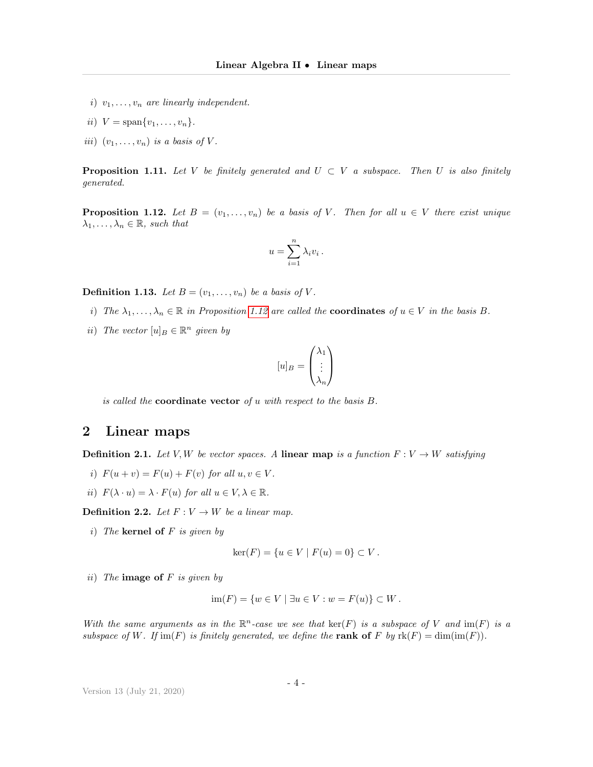- i)  $v_1, \ldots, v_n$  are linearly independent.
- ii)  $V = \text{span}\{v_1, \ldots, v_n\}.$
- iii)  $(v_1, \ldots, v_n)$  is a basis of V.

**Proposition 1.11.** Let V be finitely generated and  $U \subset V$  a subspace. Then U is also finitely generated.

<span id="page-3-1"></span>**Proposition 1.12.** Let  $B = (v_1, \ldots, v_n)$  be a basis of V. Then for all  $u \in V$  there exist unique  $\lambda_1, \ldots, \lambda_n \in \mathbb{R}$ , such that

$$
u = \sum_{i=1}^{n} \lambda_i v_i.
$$

**Definition 1.13.** Let  $B = (v_1, \ldots, v_n)$  be a basis of V.

- i) The  $\lambda_1, \ldots, \lambda_n \in \mathbb{R}$  in Proposition [1.12](#page-3-1) are called the **coordinates** of  $u \in V$  in the basis B.
- ii) The vector  $[u]_B \in \mathbb{R}^n$  given by

$$
[u]_B=\begin{pmatrix} \lambda_1 \\ \vdots \\ \lambda_n \end{pmatrix}
$$

is called the **coordinate vector** of  $u$  with respect to the basis  $B$ .

## <span id="page-3-0"></span>2 Linear maps

**Definition 2.1.** Let V, W be vector spaces. A linear map is a function  $F: V \to W$  satisfying

- i)  $F(u + v) = F(u) + F(v)$  for all  $u, v \in V$ .
- ii)  $F(\lambda \cdot u) = \lambda \cdot F(u)$  for all  $u \in V, \lambda \in \mathbb{R}$ .

**Definition 2.2.** Let  $F: V \to W$  be a linear map.

i) The kernel of  $F$  is given by

$$
ker(F) = \{ u \in V \mid F(u) = 0 \} \subset V.
$$

ii) The **image of**  $F$  is given by

$$
\operatorname{im}(F) = \{ w \in V \mid \exists u \in V : w = F(u) \} \subset W.
$$

With the same arguments as in the  $\mathbb{R}^n$ -case we see that  $\ker(F)$  is a subspace of V and  $\text{im}(F)$  is a subspace of W. If im(F) is finitely generated, we define the rank of F by  $rk(F) = dim(im(F))$ .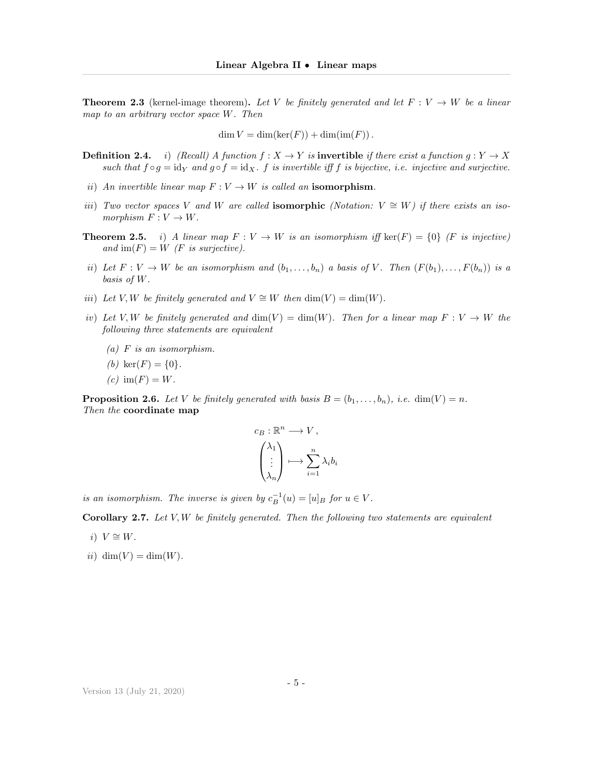**Theorem 2.3** (kernel-image theorem). Let V be finitely generated and let  $F: V \to W$  be a linear map to an arbitrary vector space W. Then

 $\dim V = \dim(\ker(F)) + \dim(\mathrm{im}(F)).$ 

- **Definition 2.4.** i) (Recall) A function  $f : X \to Y$  is **invertible** if there exist a function  $q : Y \to X$ such that  $f \circ g = id_Y$  and  $g \circ f = id_X$ . f is invertible iff f is bijective, i.e. injective and surjective.
- ii) An invertible linear map  $F: V \to W$  is called an isomorphism.
- iii) Two vector spaces V and W are called **isomorphic** (Notation:  $V \cong W$ ) if there exists an isomorphism  $F: V \to W$ .
- **Theorem 2.5.** i) A linear map  $F: V \to W$  is an isomorphism iff ker(F) = {0} (F is injective) and  $\text{im}(F) = W$  (*F* is surjective).
- ii) Let  $F: V \to W$  be an isomorphism and  $(b_1, \ldots, b_n)$  a basis of V. Then  $(F(b_1), \ldots, F(b_n))$  is a basis of W.
- iii) Let V, W be finitely generated and  $V \cong W$  then  $\dim(V) = \dim(W)$ .
- iv) Let V, W be finitely generated and  $dim(V) = dim(W)$ . Then for a linear map  $F: V \to W$  the following three statements are equivalent
	- $(a)$  F is an isomorphism.
	- (b) ker $(F) = \{0\}.$
	- $(c)$  im $(F) = W$ .

**Proposition 2.6.** Let V be finitely generated with basis  $B = (b_1, \ldots, b_n)$ , i.e.  $\dim(V) = n$ . Then the coordinate map

$$
c_B: \mathbb{R}^n \longrightarrow V,
$$
  

$$
\begin{pmatrix} \lambda_1 \\ \vdots \\ \lambda_n \end{pmatrix} \longmapsto \sum_{i=1}^n \lambda_i b_i
$$

is an isomorphism. The inverse is given by  $c_B^{-1}(u) = [u]_B$  for  $u \in V$ .

Corollary 2.7. Let  $V, W$  be finitely generated. Then the following two statements are equivalent

- i)  $V \cong W$ .
- ii) dim(V) = dim(W).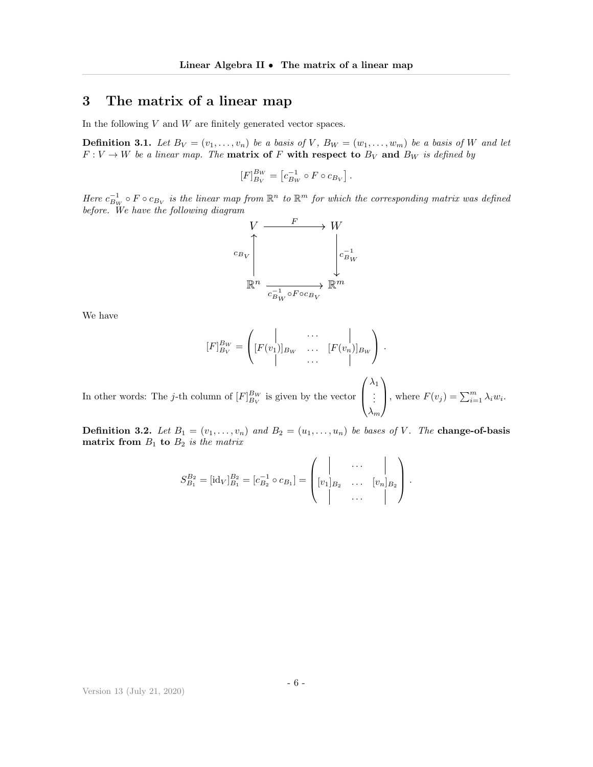## <span id="page-5-0"></span>3 The matrix of a linear map

In the following  $V$  and  $W$  are finitely generated vector spaces.

<span id="page-5-1"></span>**Definition 3.1.** Let  $B_V = (v_1, \ldots, v_n)$  be a basis of V,  $B_W = (w_1, \ldots, w_m)$  be a basis of W and let  $F: V \to W$  be a linear map. The **matrix of** F with respect to  $B_V$  and  $B_W$  is defined by

$$
[F]_{B_V}^{B_W} = [c_{B_W}^{-1} \circ F \circ c_{B_V}].
$$

Here  $c_{B_W}^{-1} \circ F \circ c_{B_V}$  is the linear map from  $\mathbb{R}^n$  to  $\mathbb{R}^m$  for which the corresponding matrix was defined before. We have the following diagram



We have

$$
[F]_{B_V}^{B_W} = \begin{pmatrix} | & \cdots & | \\ [F(v_1)]_{B_W} & \cdots & [F(v_n)]_{B_W} \\ | & \cdots & | \end{pmatrix}.
$$
  
In other words: The *j*-th column of  $[F]_{B_V}^{B_W}$  is given by the vector  $\begin{pmatrix} \lambda_1 \\ \vdots \\ \vdots \end{pmatrix}$ , where  $F(v_j) = \sum_{i=1}^m \lambda_i w_i$ .

 $\lambda_m$ **Definition 3.2.** Let  $B_1 = (v_1, \ldots, v_n)$  and  $B_2 = (u_1, \ldots, u_n)$  be bases of V. The **change-of-basis** 

$$
S_{B_1}^{B_2} = [\mathrm{id}_V]_{B_1}^{B_2} = [c_{B_2}^{-1} \circ c_{B_1}] = \begin{pmatrix} | & \dots & | \\ [v_1]_{B_2} & \dots & [v_n]_{B_2} \\ | & \dots & | \end{pmatrix}.
$$

matrix from  $B_1$  to  $B_2$  is the matrix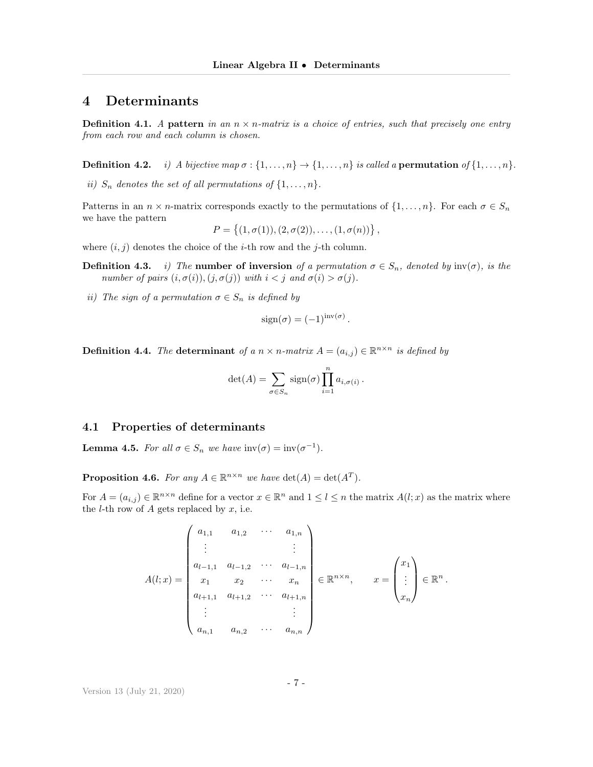### <span id="page-6-0"></span>4 Determinants

**Definition 4.1.** A pattern in an  $n \times n$ -matrix is a choice of entries, such that precisely one entry from each row and each column is chosen.

**Definition 4.2.** i) A bijective map  $\sigma : \{1, \ldots, n\} \rightarrow \{1, \ldots, n\}$  is called a **permutation** of  $\{1, \ldots, n\}$ .

ii)  $S_n$  denotes the set of all permutations of  $\{1, \ldots, n\}$ .

Patterns in an  $n \times n$ -matrix corresponds exactly to the permutations of  $\{1, \ldots, n\}$ . For each  $\sigma \in S_n$ we have the pattern

$$
P = \{(1, \sigma(1)), (2, \sigma(2)), \ldots, (1, \sigma(n))\},\
$$

where  $(i, j)$  denotes the choice of the *i*-th row and the *j*-th column.

- **Definition 4.3.** i) The **number of inversion** of a permutation  $\sigma \in S_n$ , denoted by  $\text{inv}(\sigma)$ , is the number of pairs  $(i, \sigma(i)), (j, \sigma(j))$  with  $i < j$  and  $\sigma(i) > \sigma(j)$ .
- ii) The sign of a permutation  $\sigma \in S_n$  is defined by

$$
sign(\sigma) = (-1)^{inv(\sigma)}
$$

.

.

**Definition 4.4.** The determinant of a  $n \times n$ -matrix  $A = (a_{i,j}) \in \mathbb{R}^{n \times n}$  is defined by

$$
\det(A) = \sum_{\sigma \in S_n} sign(\sigma) \prod_{i=1}^n a_{i,\sigma(i)}.
$$

#### 4.1 Properties of determinants

**Lemma 4.5.** For all  $\sigma \in S_n$  we have  $\text{inv}(\sigma) = \text{inv}(\sigma^{-1})$ .

**Proposition 4.6.** For any  $A \in \mathbb{R}^{n \times n}$  we have  $\det(A) = \det(A^T)$ .

For  $A = (a_{i,j}) \in \mathbb{R}^{n \times n}$  define for a vector  $x \in \mathbb{R}^n$  and  $1 \leq l \leq n$  the matrix  $A(l; x)$  as the matrix where the *l*-th row of A gets replaced by  $x$ , i.e.

$$
A(l;x) = \begin{pmatrix} a_{1,1} & a_{1,2} & \cdots & a_{1,n} \\ \vdots & & \vdots & \\ a_{l-1,1} & a_{l-1,2} & \cdots & a_{l-1,n} \\ x_1 & x_2 & \cdots & x_n \\ a_{l+1,1} & a_{l+1,2} & \cdots & a_{l+1,n} \\ \vdots & & \vdots & \\ a_{n,1} & a_{n,2} & \cdots & a_{n,n} \end{pmatrix} \in \mathbb{R}^{n \times n}, \qquad x = \begin{pmatrix} x_1 \\ \vdots \\ x_n \end{pmatrix} \in \mathbb{R}^n
$$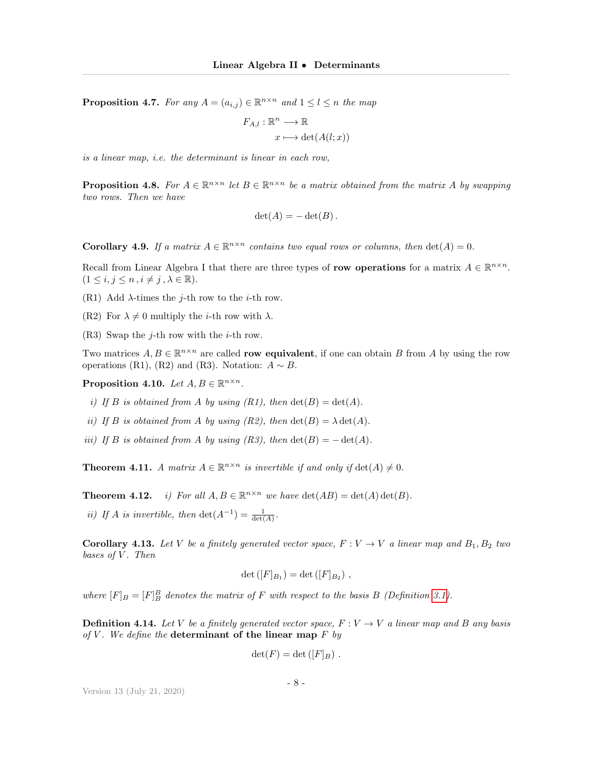**Proposition 4.7.** For any  $A = (a_{i,j}) \in \mathbb{R}^{n \times n}$  and  $1 \leq l \leq n$  the map

$$
F_{A,l} : \mathbb{R}^n \longrightarrow \mathbb{R}
$$

$$
x \longmapsto \det(A(l;x))
$$

is a linear map, i.e. the determinant is linear in each row,

**Proposition 4.8.** For  $A \in \mathbb{R}^{n \times n}$  let  $B \in \mathbb{R}^{n \times n}$  be a matrix obtained from the matrix A by swapping two rows. Then we have

$$
\det(A) = -\det(B).
$$

**Corollary 4.9.** If a matrix  $A \in \mathbb{R}^{n \times n}$  contains two equal rows or columns, then  $\det(A) = 0$ .

Recall from Linear Algebra I that there are three types of row operations for a matrix  $A \in \mathbb{R}^{n \times n}$ .  $(1 \leq i, j \leq n, i \neq j, \lambda \in \mathbb{R}).$ 

- (R1) Add  $\lambda$ -times the *j*-th row to the *i*-th row.
- (R2) For  $\lambda \neq 0$  multiply the *i*-th row with  $\lambda$ .
- (R3) Swap the j-th row with the *i*-th row.

Two matrices  $A, B \in \mathbb{R}^{n \times n}$  are called **row equivalent**, if one can obtain B from A by using the row operations (R1), (R2) and (R3). Notation:  $A \sim B$ .

Proposition 4.10. Let  $A, B \in \mathbb{R}^{n \times n}$ .

- i) If B is obtained from A by using  $(R1)$ , then  $\det(B) = \det(A)$ .
- ii) If B is obtained from A by using  $(R2)$ , then  $\det(B) = \lambda \det(A)$ .
- iii) If B is obtained from A by using  $(R3)$ , then  $\det(B) = -\det(A)$ .

**Theorem 4.11.** A matrix  $A \in \mathbb{R}^{n \times n}$  is invertible if and only if  $\det(A) \neq 0$ .

**Theorem 4.12.** *i)* For all  $A, B \in \mathbb{R}^{n \times n}$  we have  $\det(AB) = \det(A) \det(B)$ .

ii) If A is invertible, then  $\det(A^{-1}) = \frac{1}{\det(A)}$ .

**Corollary 4.13.** Let V be a finitely generated vector space,  $F: V \to V$  a linear map and  $B_1, B_2$  two bases of  $V$ . Then

$$
\det ([F]_{B_1}) = \det ([F]_{B_2}),
$$

where  $[F]_B = [F]_B^B$  denotes the matrix of F with respect to the basis B (Definition [3.1\)](#page-5-1).

**Definition 4.14.** Let V be a finitely generated vector space,  $F: V \to V$  a linear map and B any basis of V. We define the determinant of the linear map  $F$  by

$$
\det(F) = \det([F]_B) .
$$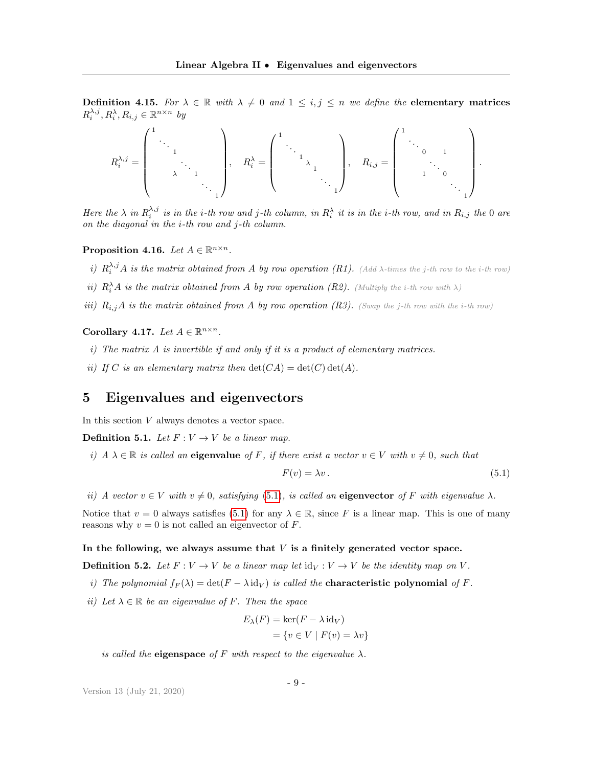**Definition 4.15.** For  $\lambda \in \mathbb{R}$  with  $\lambda \neq 0$  and  $1 \leq i, j \leq n$  we define the elementary matrices  $R_i^{\lambda,j}, R_i^{\lambda}, R_{i,j} \in \mathbb{R}^{n \times n}$  by

R λ,j <sup>i</sup> = 1 . . . 1 . . . λ 1 . . . 1 , R<sup>λ</sup> <sup>i</sup> = 1 . . . 1 λ 1 . . . 1 , Ri,j = 1 . . . 0 1 . . . 1 0 . . . 1 .

Here the  $\lambda$  in  $R_i^{\lambda,j}$  is in the i-th row and j-th column, in  $R_i^{\lambda}$  it is in the i-th row, and in  $R_{i,j}$  the 0 are on the diagonal in the i-th row and j-th column.

Proposition 4.16. Let  $A \in \mathbb{R}^{n \times n}$ .

- i)  $R_i^{\lambda,j}A$  is the matrix obtained from A by row operation (R1). (Add  $\lambda$ -times the j-th row to the i-th row)
- ii)  $R_i^{\lambda}A$  is the matrix obtained from A by row operation (R2). (Multiply the i-th row with  $\lambda$ )
- iii)  $R_{i,j}A$  is the matrix obtained from A by row operation (R3). (Swap the j-th row with the i-th row)

Corollary 4.17. Let  $A \in \mathbb{R}^{n \times n}$ .

- i) The matrix A is invertible if and only if it is a product of elementary matrices.
- ii) If C is an elementary matrix then  $\det(CA) = \det(C) \det(A)$ .

## <span id="page-8-0"></span>5 Eigenvalues and eigenvectors

In this section  $V$  always denotes a vector space.

**Definition 5.1.** Let  $F: V \to V$  be a linear map.

i)  $A \lambda \in \mathbb{R}$  is called an eigenvalue of F, if there exist a vector  $v \in V$  with  $v \neq 0$ , such that

<span id="page-8-1"></span>
$$
F(v) = \lambda v. \tag{5.1}
$$

ii) A vector  $v \in V$  with  $v \neq 0$ , satisfying [\(5.1\)](#page-8-1), is called an eigenvector of F with eigenvalue  $\lambda$ .

Notice that  $v = 0$  always satisfies [\(5.1\)](#page-8-1) for any  $\lambda \in \mathbb{R}$ , since F is a linear map. This is one of many reasons why  $v = 0$  is not called an eigenvector of  $F$ .

#### In the following, we always assume that  $V$  is a finitely generated vector space.

**Definition 5.2.** Let  $F: V \to V$  be a linear map let  $\text{id}_V: V \to V$  be the identity map on V.

- i) The polynomial  $f_F(\lambda) = \det(F \lambda \operatorname{id}_V)$  is called the **characteristic polynomial** of F.
- ii) Let  $\lambda \in \mathbb{R}$  be an eigenvalue of F. Then the space

$$
E_{\lambda}(F) = \ker(F - \lambda \operatorname{id}_{V})
$$
  
= {v \in V | F(v) = \lambda v}

is called the **eigenspace** of F with respect to the eigenvalue  $\lambda$ .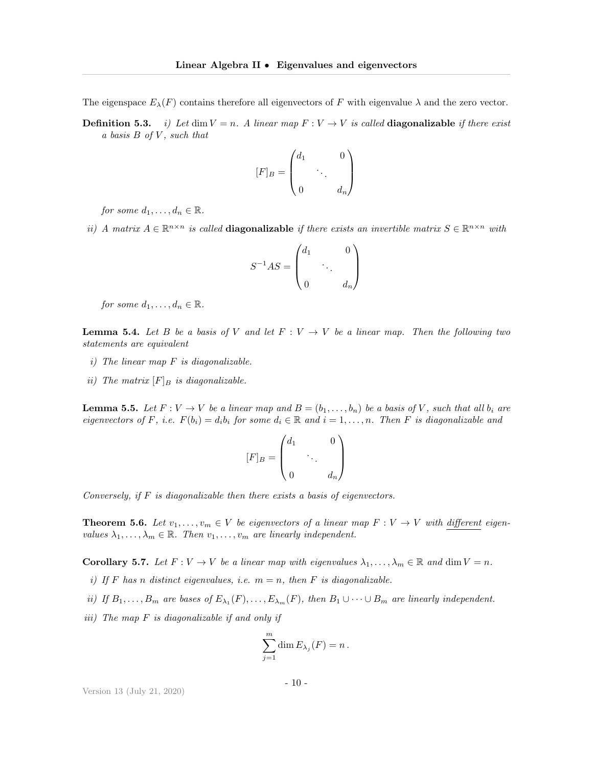The eigenspace  $E_{\lambda}(F)$  contains therefore all eigenvectors of F with eigenvalue  $\lambda$  and the zero vector.

**Definition 5.3.** i) Let dim  $V = n$ . A linear map  $F : V \to V$  is called **diagonalizable** if there exist a basis B of V , such that

$$
[F]_B = \begin{pmatrix} d_1 & & 0 \\ & \ddots & \\ 0 & & d_n \end{pmatrix}
$$

for some  $d_1, \ldots, d_n \in \mathbb{R}$ .

ii) A matrix  $A \in \mathbb{R}^{n \times n}$  is called **diagonalizable** if there exists an invertible matrix  $S \in \mathbb{R}^{n \times n}$  with

$$
S^{-1}AS = \begin{pmatrix} d_1 & & 0 \\ & \ddots & \\ 0 & & d_n \end{pmatrix}
$$

for some  $d_1, \ldots, d_n \in \mathbb{R}$ .

**Lemma 5.4.** Let B be a basis of V and let  $F: V \to V$  be a linear map. Then the following two statements are equivalent

- $i)$  The linear map  $F$  is diagonalizable.
- ii) The matrix  $[F]_B$  is diagonalizable.

**Lemma 5.5.** Let  $F: V \to V$  be a linear map and  $B = (b_1, \ldots, b_n)$  be a basis of V, such that all  $b_i$  are eigenvectors of F, i.e.  $F(b_i) = d_i b_i$  for some  $d_i \in \mathbb{R}$  and  $i = 1, ..., n$ . Then F is diagonalizable and

$$
[F]_B = \begin{pmatrix} d_1 & & 0 \\ & \ddots & \\ 0 & & d_n \end{pmatrix}
$$

Conversely, if  $F$  is diagonalizable then there exists a basis of eigenvectors.

**Theorem 5.6.** Let  $v_1, \ldots, v_m \in V$  be eigenvectors of a linear map  $F: V \to V$  with different eigenvalues  $\lambda_1, \ldots, \lambda_m \in \mathbb{R}$ . Then  $v_1, \ldots, v_m$  are linearly independent.

**Corollary 5.7.** Let  $F: V \to V$  be a linear map with eigenvalues  $\lambda_1, \ldots, \lambda_m \in \mathbb{R}$  and dim  $V = n$ .

- i) If F has n distinct eigenvalues, i.e.  $m = n$ , then F is diagonalizable.
- ii) If  $B_1, \ldots, B_m$  are bases of  $E_{\lambda_1}(F), \ldots, E_{\lambda_m}(F)$ , then  $B_1 \cup \cdots \cup B_m$  are linearly independent.
- iii) The map F is diagonalizable if and only if

$$
\sum_{j=1}^m \dim E_{\lambda_j}(F) = n.
$$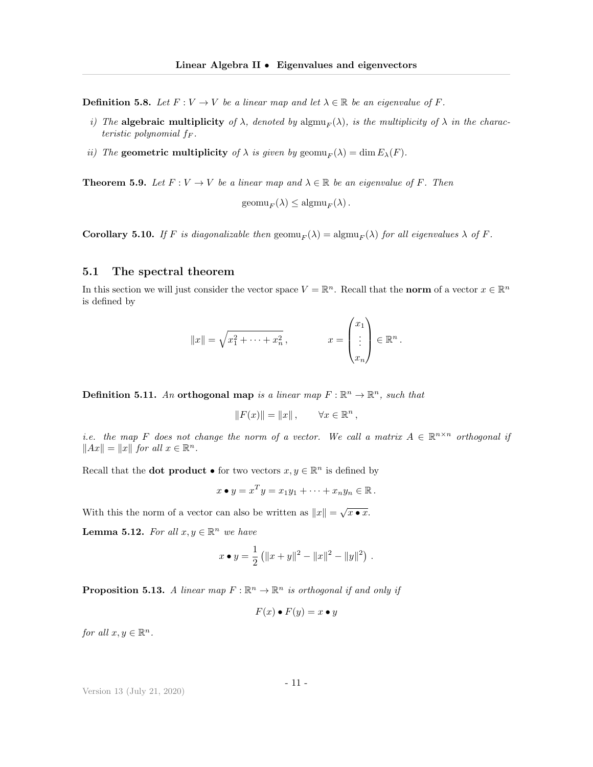**Definition 5.8.** Let  $F: V \to V$  be a linear map and let  $\lambda \in \mathbb{R}$  be an eigenvalue of F.

- i) The algebraic multiplicity of  $\lambda$ , denoted by  $\text{algmu}_F(\lambda)$ , is the multiplicity of  $\lambda$  in the characteristic polynomial  $f_F$ .
- ii) The geometric multiplicity of  $\lambda$  is given by geomu<sub>F</sub>( $\lambda$ ) = dim  $E_{\lambda}(F)$ .

**Theorem 5.9.** Let  $F: V \to V$  be a linear map and  $\lambda \in \mathbb{R}$  be an eigenvalue of F. Then

 $\operatorname{geom}_{F}(\lambda) \leq \operatorname{algmu}_{F}(\lambda)$ .

**Corollary 5.10.** If F is diagonalizable then  $\text{geom}_{F}(\lambda) = \text{algmu}_{F}(\lambda)$  for all eigenvalues  $\lambda$  of F.

#### 5.1 The spectral theorem

In this section we will just consider the vector space  $V = \mathbb{R}^n$ . Recall that the norm of a vector  $x \in \mathbb{R}^n$ is defined by

$$
||x|| = \sqrt{x_1^2 + \dots + x_n^2}, \qquad x = \begin{pmatrix} x_1 \\ \vdots \\ x_n \end{pmatrix} \in \mathbb{R}^n.
$$

**Definition 5.11.** An orthogonal map is a linear map  $F : \mathbb{R}^n \to \mathbb{R}^n$ , such that

$$
||F(x)|| = ||x||, \qquad \forall x \in \mathbb{R}^n,
$$

i.e. the map F does not change the norm of a vector. We call a matrix  $A \in \mathbb{R}^{n \times n}$  orthogonal if  $||Ax|| = ||x||$  for all  $x \in \mathbb{R}^n$ .

Recall that the **dot product**  $\bullet$  for two vectors  $x, y \in \mathbb{R}^n$  is defined by

$$
x \bullet y = x^T y = x_1 y_1 + \cdots + x_n y_n \in \mathbb{R}.
$$

With this the norm of a vector can also be written as  $||x|| = \sqrt{x \cdot x}$ .

**Lemma 5.12.** For all  $x, y \in \mathbb{R}^n$  we have

$$
x \bullet y = \frac{1}{2} (||x+y||^2 - ||x||^2 - ||y||^2) .
$$

**Proposition 5.13.** A linear map  $F : \mathbb{R}^n \to \mathbb{R}^n$  is orthogonal if and only if

$$
F(x) \bullet F(y) = x \bullet y
$$

for all  $x, y \in \mathbb{R}^n$ .

Version 13 (July 21, 2020)

- 11 -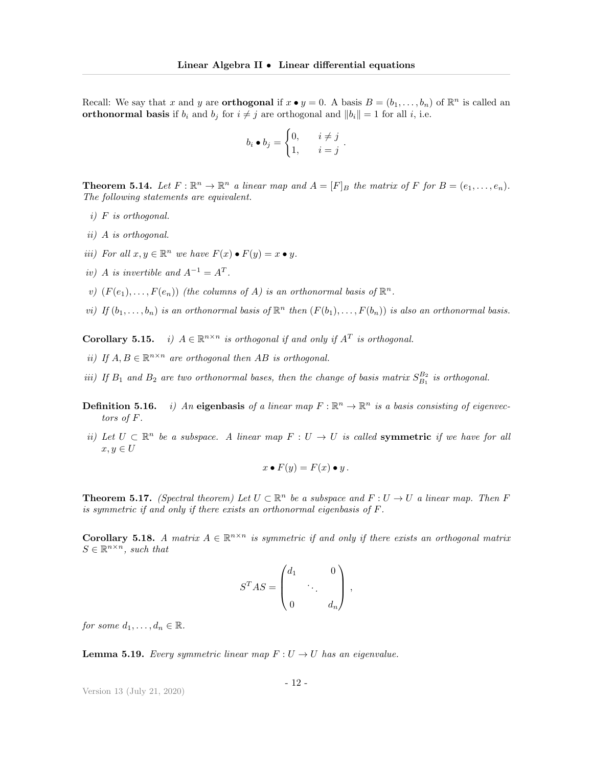Recall: We say that x and y are **orthogonal** if  $x \bullet y = 0$ . A basis  $B = (b_1, \ldots, b_n)$  of  $\mathbb{R}^n$  is called an **orthonormal basis** if  $b_i$  and  $b_j$  for  $i \neq j$  are orthogonal and  $||b_i|| = 1$  for all i, i.e.

$$
b_i \bullet b_j = \begin{cases} 0, & i \neq j \\ 1, & i = j \end{cases}.
$$

**Theorem 5.14.** Let  $F : \mathbb{R}^n \to \mathbb{R}^n$  a linear map and  $A = [F]_B$  the matrix of F for  $B = (e_1, \ldots, e_n)$ . The following statements are equivalent.

- i) F is orthogonal.
- ii) A is orthogonal.
- iii) For all  $x, y \in \mathbb{R}^n$  we have  $F(x) \bullet F(y) = x \bullet y$ .
- iv) A is invertible and  $A^{-1} = A^T$ .
- v)  $(F(e_1),...,F(e_n))$  (the columns of A) is an orthonormal basis of  $\mathbb{R}^n$ .
- vi) If  $(b_1, \ldots, b_n)$  is an orthonormal basis of  $\mathbb{R}^n$  then  $(F(b_1), \ldots, F(b_n))$  is also an orthonormal basis.

**Corollary 5.15.** i)  $A \in \mathbb{R}^{n \times n}$  is orthogonal if and only if  $A<sup>T</sup>$  is orthogonal.

- ii) If  $A, B \in \mathbb{R}^{n \times n}$  are orthogonal then AB is orthogonal.
- iii) If  $B_1$  and  $B_2$  are two orthonormal bases, then the change of basis matrix  $S_{B_1}^{B_2}$  is orthogonal.
- **Definition 5.16.** i) An eigenbasis of a linear map  $F : \mathbb{R}^n \to \mathbb{R}^n$  is a basis consisting of eigenvectiontors of F.
- ii) Let  $U \subset \mathbb{R}^n$  be a subspace. A linear map  $F : U \to U$  is called **symmetric** if we have for all  $x, y \in U$

$$
x \bullet F(y) = F(x) \bullet y.
$$

**Theorem 5.17.** (Spectral theorem) Let  $U \subset \mathbb{R}^n$  be a subspace and  $F: U \to U$  a linear map. Then F is symmetric if and only if there exists an orthonormal eigenbasis of F.

**Corollary 5.18.** A matrix  $A \in \mathbb{R}^{n \times n}$  is symmetric if and only if there exists an orthogonal matrix  $S \in \mathbb{R}^{n \times n}$ , such that

$$
STAS = \begin{pmatrix} d_1 & & 0 \\ & \ddots & \\ 0 & & d_n \end{pmatrix},
$$

for some  $d_1, \ldots, d_n \in \mathbb{R}$ .

**Lemma 5.19.** Every symmetric linear map  $F: U \to U$  has an eigenvalue.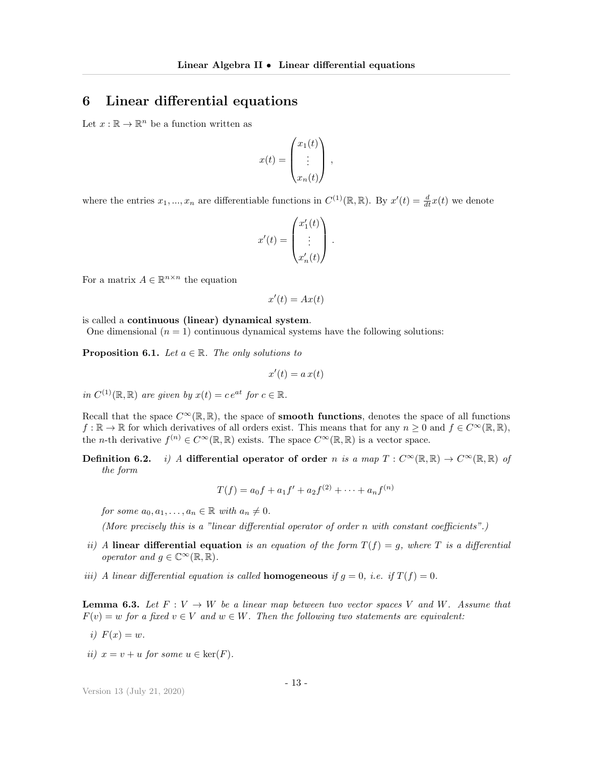# <span id="page-12-0"></span>6 Linear differential equations

Let  $x : \mathbb{R} \to \mathbb{R}^n$  be a function written as

$$
x(t) = \begin{pmatrix} x_1(t) \\ \vdots \\ x_n(t) \end{pmatrix},
$$

where the entries  $x_1, ..., x_n$  are differentiable functions in  $C^{(1)}(\mathbb{R}, \mathbb{R})$ . By  $x'(t) = \frac{d}{dt}x(t)$  we denote

$$
x'(t) = \begin{pmatrix} x'_1(t) \\ \vdots \\ x'_n(t) \end{pmatrix}.
$$

For a matrix  $A \in \mathbb{R}^{n \times n}$  the equation

$$
x'(t) = Ax(t)
$$

is called a continuous (linear) dynamical system.

One dimensional  $(n = 1)$  continuous dynamical systems have the following solutions:

**Proposition 6.1.** Let  $a \in \mathbb{R}$ . The only solutions to

$$
x'(t) = a x(t)
$$

in  $C^{(1)}(\mathbb{R}, \mathbb{R})$  are given by  $x(t) = ce^{at}$  for  $c \in \mathbb{R}$ .

Recall that the space  $C^{\infty}(\mathbb{R}, \mathbb{R})$ , the space of **smooth functions**, denotes the space of all functions  $f : \mathbb{R} \to \mathbb{R}$  for which derivatives of all orders exist. This means that for any  $n \geq 0$  and  $f \in C^{\infty}(\mathbb{R}, \mathbb{R}),$ the *n*-th derivative  $f^{(n)} \in C^{\infty}(\mathbb{R}, \mathbb{R})$  exists. The space  $C^{\infty}(\mathbb{R}, \mathbb{R})$  is a vector space.

Definition 6.2. i) A differential operator of order n is a map  $T : C^{\infty}(\mathbb{R}, \mathbb{R}) \to C^{\infty}(\mathbb{R}, \mathbb{R})$  of the form

$$
T(f) = a_0 f + a_1 f' + a_2 f^{(2)} + \dots + a_n f^{(n)}
$$

for some  $a_0, a_1, \ldots, a_n \in \mathbb{R}$  with  $a_n \neq 0$ .

(More precisely this is a "linear differential operator of order n with constant coefficients".)

- ii) A linear differential equation is an equation of the form  $T(f) = g$ , where T is a differential operator and  $g \in \mathbb{C}^{\infty}(\mathbb{R}, \mathbb{R})$ .
- iii) A linear differential equation is called **homogeneous** if  $g = 0$ , i.e. if  $T(f) = 0$ .

**Lemma 6.3.** Let  $F: V \to W$  be a linear map between two vector spaces V and W. Assume that  $F(v) = w$  for a fixed  $v \in V$  and  $w \in W$ . Then the following two statements are equivalent:

- i)  $F(x) = w$ .
- ii)  $x = v + u$  for some  $u \in \text{ker}(F)$ .